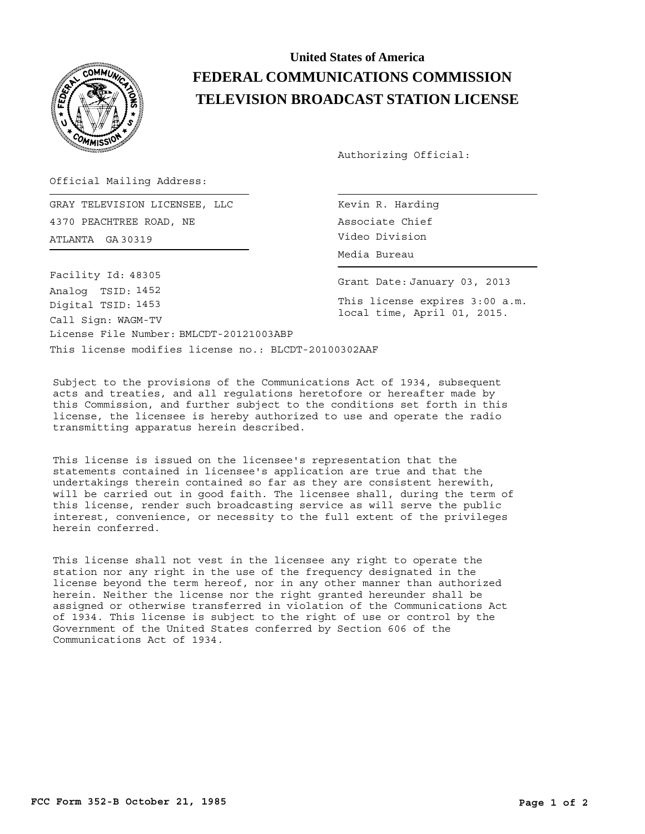

## **United States of America FEDERAL COMMUNICATIONS COMMISSION TELEVISION BROADCAST STATION LICENSE**

Authorizing Official:

Official Mailing Address:

ATLANTA Video Division GA 30319 GRAY TELEVISION LICENSEE, LLC 4370 PEACHTREE ROAD, NE

This license modifies license no.: BLCDT-20100302AAF License File Number: BMLCDT-20121003ABP Call Sign: WAGM-TV Facility Id: 48305 Digital TSID: 1453 Analog TSID: 1452

Kevin R. Harding Associate Chief Media Bureau

Grant Date: January 03, 2013

This license expires 3:00 a.m. local time, April 01, 2015.

Subject to the provisions of the Communications Act of 1934, subsequent acts and treaties, and all regulations heretofore or hereafter made by this Commission, and further subject to the conditions set forth in this license, the licensee is hereby authorized to use and operate the radio transmitting apparatus herein described.

This license is issued on the licensee's representation that the statements contained in licensee's application are true and that the undertakings therein contained so far as they are consistent herewith, will be carried out in good faith. The licensee shall, during the term of this license, render such broadcasting service as will serve the public interest, convenience, or necessity to the full extent of the privileges herein conferred.

This license shall not vest in the licensee any right to operate the station nor any right in the use of the frequency designated in the license beyond the term hereof, nor in any other manner than authorized herein. Neither the license nor the right granted hereunder shall be assigned or otherwise transferred in violation of the Communications Act of 1934. This license is subject to the right of use or control by the Government of the United States conferred by Section 606 of the Communications Act of 1934.